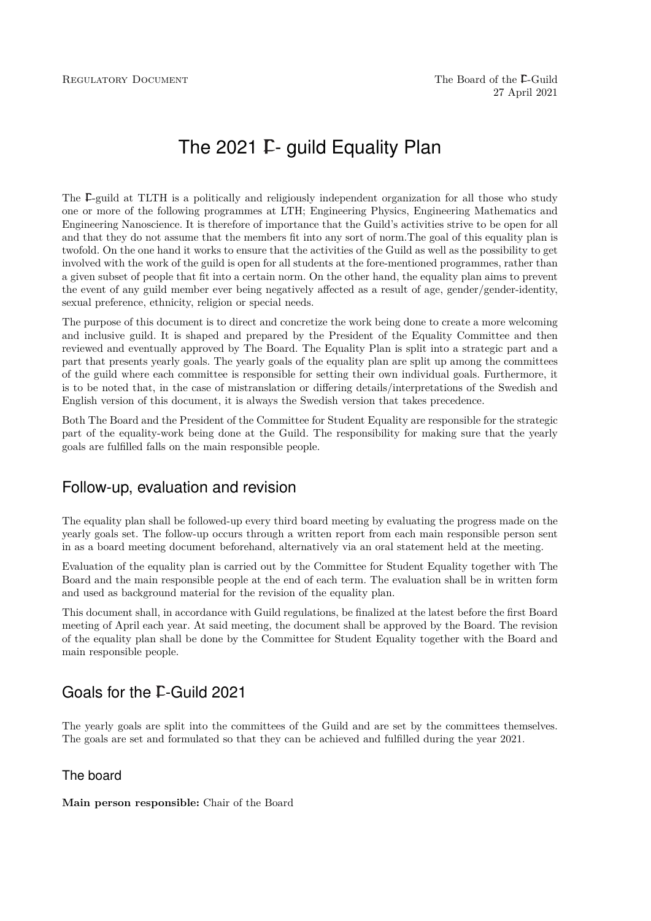# The 2021  $F$ - quild Equality Plan

The  $\Gamma$ -guild at TLTH is a politically and religiously independent organization for all those who study one or more of the following programmes at LTH; Engineering Physics, Engineering Mathematics and Engineering Nanoscience. It is therefore of importance that the Guild's activities strive to be open for all and that they do not assume that the members fit into any sort of norm.The goal of this equality plan is twofold. On the one hand it works to ensure that the activities of the Guild as well as the possibility to get involved with the work of the guild is open for all students at the fore-mentioned programmes, rather than a given subset of people that fit into a certain norm. On the other hand, the equality plan aims to prevent the event of any guild member ever being negatively affected as a result of age, gender/gender-identity, sexual preference, ethnicity, religion or special needs.

The purpose of this document is to direct and concretize the work being done to create a more welcoming and inclusive guild. It is shaped and prepared by the President of the Equality Committee and then reviewed and eventually approved by The Board. The Equality Plan is split into a strategic part and a part that presents yearly goals. The yearly goals of the equality plan are split up among the committees of the guild where each committee is responsible for setting their own individual goals. Furthermore, it is to be noted that, in the case of mistranslation or differing details/interpretations of the Swedish and English version of this document, it is always the Swedish version that takes precedence.

Both The Board and the President of the Committee for Student Equality are responsible for the strategic part of the equality-work being done at the Guild. The responsibility for making sure that the yearly goals are fulfilled falls on the main responsible people.

# Follow-up, evaluation and revision

The equality plan shall be followed-up every third board meeting by evaluating the progress made on the yearly goals set. The follow-up occurs through a written report from each main responsible person sent in as a board meeting document beforehand, alternatively via an oral statement held at the meeting.

Evaluation of the equality plan is carried out by the Committee for Student Equality together with The Board and the main responsible people at the end of each term. The evaluation shall be in written form and used as background material for the revision of the equality plan.

This document shall, in accordance with Guild regulations, be finalized at the latest before the first Board meeting of April each year. At said meeting, the document shall be approved by the Board. The revision of the equality plan shall be done by the Committee for Student Equality together with the Board and main responsible people.

# Goals for the F-Guild 2021

The yearly goals are split into the committees of the Guild and are set by the committees themselves. The goals are set and formulated so that they can be achieved and fulfilled during the year 2021.

### The board

#### **Main person responsible:** Chair of the Board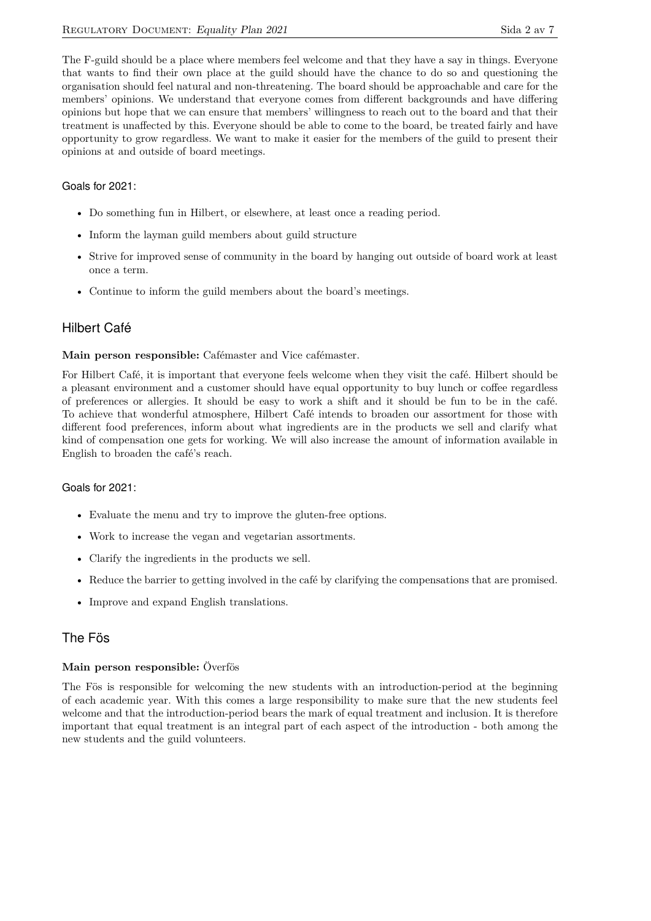The F-guild should be a place where members feel welcome and that they have a say in things. Everyone that wants to find their own place at the guild should have the chance to do so and questioning the organisation should feel natural and non-threatening. The board should be approachable and care for the members' opinions. We understand that everyone comes from different backgrounds and have differing opinions but hope that we can ensure that members' willingness to reach out to the board and that their treatment is unaffected by this. Everyone should be able to come to the board, be treated fairly and have opportunity to grow regardless. We want to make it easier for the members of the guild to present their opinions at and outside of board meetings.

#### Goals for 2021:

- Do something fun in Hilbert, or elsewhere, at least once a reading period.
- Inform the layman guild members about guild structure
- Strive for improved sense of community in the board by hanging out outside of board work at least once a term.
- Continue to inform the guild members about the board's meetings.

### Hilbert Café

#### **Main person responsible:** Cafémaster and Vice cafémaster.

For Hilbert Café, it is important that everyone feels welcome when they visit the café. Hilbert should be a pleasant environment and a customer should have equal opportunity to buy lunch or coffee regardless of preferences or allergies. It should be easy to work a shift and it should be fun to be in the café. To achieve that wonderful atmosphere, Hilbert Café intends to broaden our assortment for those with different food preferences, inform about what ingredients are in the products we sell and clarify what kind of compensation one gets for working. We will also increase the amount of information available in English to broaden the café's reach.

#### Goals for 2021:

- Evaluate the menu and try to improve the gluten-free options.
- Work to increase the vegan and vegetarian assortments.
- Clarify the ingredients in the products we sell.
- Reduce the barrier to getting involved in the café by clarifying the compensations that are promised.
- Improve and expand English translations.

### The Fös

#### **Main person responsible:** Överfös

The Fös is responsible for welcoming the new students with an introduction-period at the beginning of each academic year. With this comes a large responsibility to make sure that the new students feel welcome and that the introduction-period bears the mark of equal treatment and inclusion. It is therefore important that equal treatment is an integral part of each aspect of the introduction - both among the new students and the guild volunteers.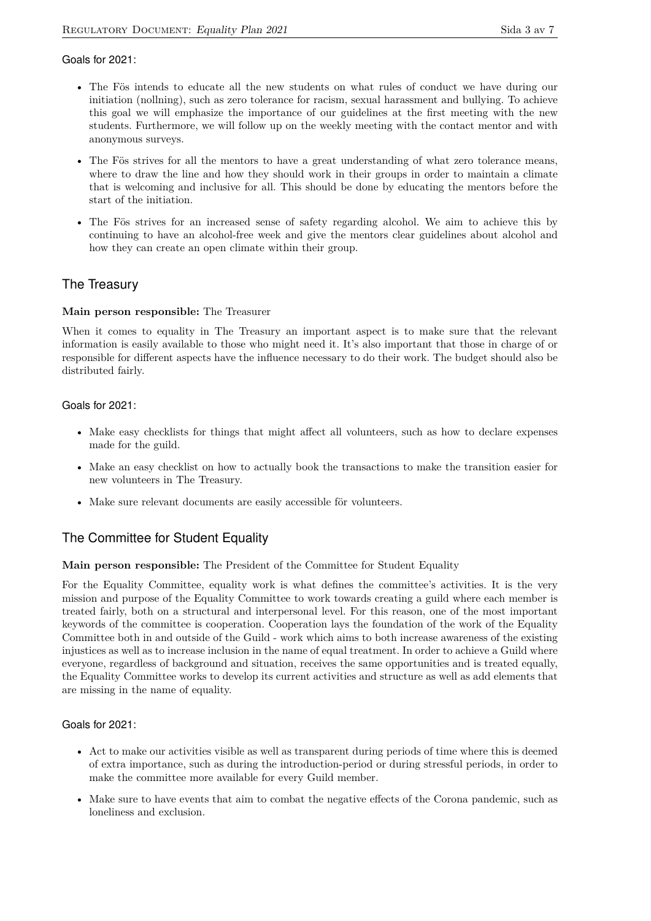#### Goals for 2021:

- The Fös intends to educate all the new students on what rules of conduct we have during our initiation (nollning), such as zero tolerance for racism, sexual harassment and bullying. To achieve this goal we will emphasize the importance of our guidelines at the first meeting with the new students. Furthermore, we will follow up on the weekly meeting with the contact mentor and with anonymous surveys.
- The Fös strives for all the mentors to have a great understanding of what zero tolerance means, where to draw the line and how they should work in their groups in order to maintain a climate that is welcoming and inclusive for all. This should be done by educating the mentors before the start of the initiation.
- The Fös strives for an increased sense of safety regarding alcohol. We aim to achieve this by continuing to have an alcohol-free week and give the mentors clear guidelines about alcohol and how they can create an open climate within their group.

# The Treasury

#### **Main person responsible:** The Treasurer

When it comes to equality in The Treasury an important aspect is to make sure that the relevant information is easily available to those who might need it. It's also important that those in charge of or responsible for different aspects have the influence necessary to do their work. The budget should also be distributed fairly.

#### Goals for 2021:

- Make easy checklists for things that might affect all volunteers, such as how to declare expenses made for the guild.
- Make an easy checklist on how to actually book the transactions to make the transition easier for new volunteers in The Treasury.
- Make sure relevant documents are easily accessible för volunteers.

### The Committee for Student Equality

#### **Main person responsible:** The President of the Committee for Student Equality

For the Equality Committee, equality work is what defines the committee's activities. It is the very mission and purpose of the Equality Committee to work towards creating a guild where each member is treated fairly, both on a structural and interpersonal level. For this reason, one of the most important keywords of the committee is cooperation. Cooperation lays the foundation of the work of the Equality Committee both in and outside of the Guild - work which aims to both increase awareness of the existing injustices as well as to increase inclusion in the name of equal treatment. In order to achieve a Guild where everyone, regardless of background and situation, receives the same opportunities and is treated equally, the Equality Committee works to develop its current activities and structure as well as add elements that are missing in the name of equality.

#### Goals for 2021:

- Act to make our activities visible as well as transparent during periods of time where this is deemed of extra importance, such as during the introduction-period or during stressful periods, in order to make the committee more available for every Guild member.
- Make sure to have events that aim to combat the negative effects of the Corona pandemic, such as loneliness and exclusion.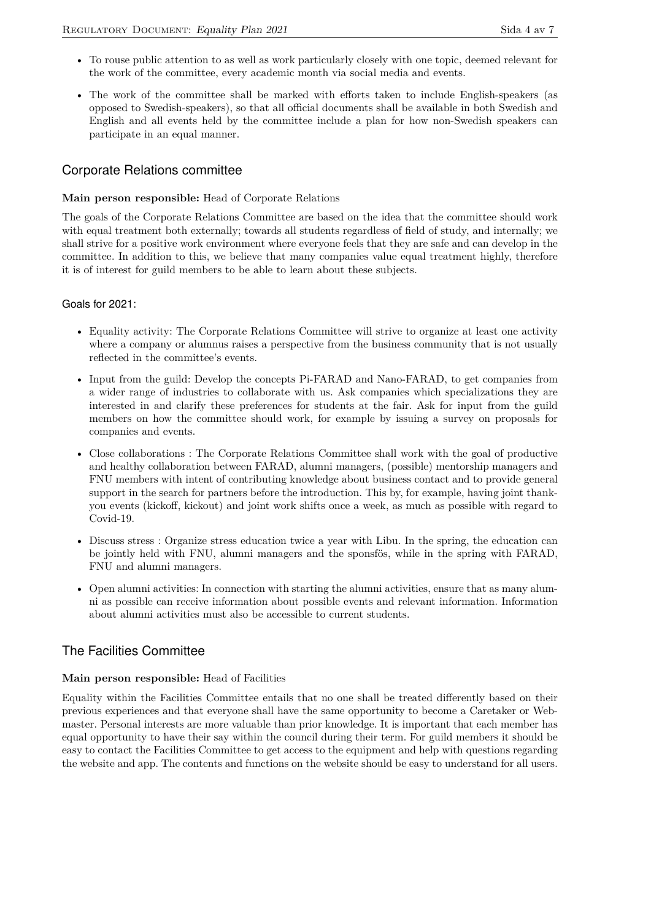- To rouse public attention to as well as work particularly closely with one topic, deemed relevant for the work of the committee, every academic month via social media and events.
- The work of the committee shall be marked with efforts taken to include English-speakers (as opposed to Swedish-speakers), so that all official documents shall be available in both Swedish and English and all events held by the committee include a plan for how non-Swedish speakers can participate in an equal manner.

# Corporate Relations committee

#### **Main person responsible:** Head of Corporate Relations

The goals of the Corporate Relations Committee are based on the idea that the committee should work with equal treatment both externally; towards all students regardless of field of study, and internally; we shall strive for a positive work environment where everyone feels that they are safe and can develop in the committee. In addition to this, we believe that many companies value equal treatment highly, therefore it is of interest for guild members to be able to learn about these subjects.

#### Goals for 2021:

- Equality activity: The Corporate Relations Committee will strive to organize at least one activity where a company or alumnus raises a perspective from the business community that is not usually reflected in the committee's events.
- Input from the guild: Develop the concepts Pi-FARAD and Nano-FARAD, to get companies from a wider range of industries to collaborate with us. Ask companies which specializations they are interested in and clarify these preferences for students at the fair. Ask for input from the guild members on how the committee should work, for example by issuing a survey on proposals for companies and events.
- Close collaborations : The Corporate Relations Committee shall work with the goal of productive and healthy collaboration between FARAD, alumni managers, (possible) mentorship managers and FNU members with intent of contributing knowledge about business contact and to provide general support in the search for partners before the introduction. This by, for example, having joint thankyou events (kickoff, kickout) and joint work shifts once a week, as much as possible with regard to Covid-19.
- Discuss stress : Organize stress education twice a year with Libu. In the spring, the education can be jointly held with FNU, alumni managers and the sponsfös, while in the spring with FARAD, FNU and alumni managers.
- Open alumni activities: In connection with starting the alumni activities, ensure that as many alumni as possible can receive information about possible events and relevant information. Information about alumni activities must also be accessible to current students.

# The Facilities Committee

#### **Main person responsible:** Head of Facilities

Equality within the Facilities Committee entails that no one shall be treated differently based on their previous experiences and that everyone shall have the same opportunity to become a Caretaker or Webmaster. Personal interests are more valuable than prior knowledge. It is important that each member has equal opportunity to have their say within the council during their term. For guild members it should be easy to contact the Facilities Committee to get access to the equipment and help with questions regarding the website and app. The contents and functions on the website should be easy to understand for all users.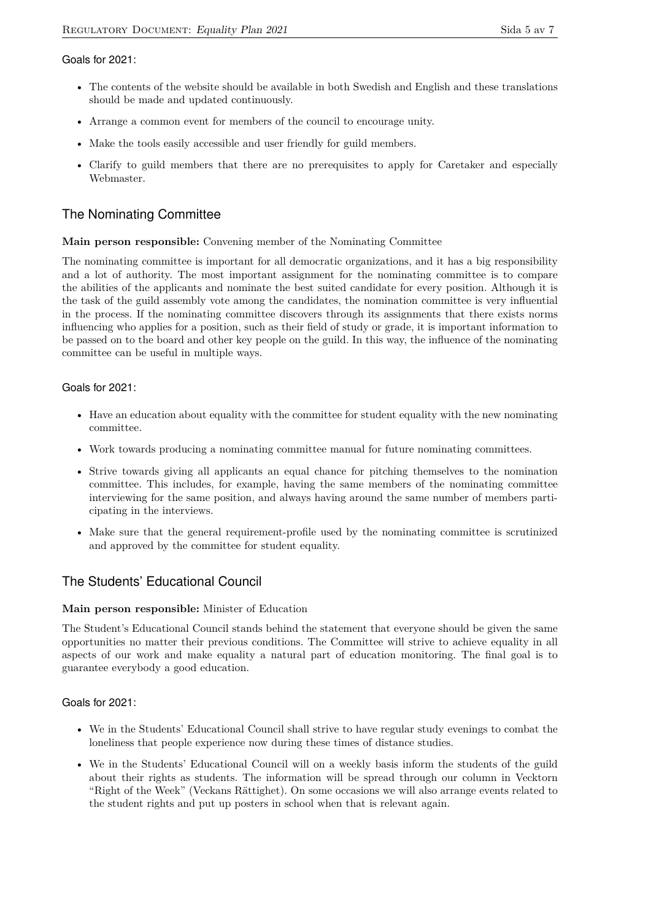#### Goals for 2021:

- The contents of the website should be available in both Swedish and English and these translations should be made and updated continuously.
- Arrange a common event for members of the council to encourage unity.
- Make the tools easily accessible and user friendly for guild members.
- Clarify to guild members that there are no prerequisites to apply for Caretaker and especially Webmaster.

# The Nominating Committee

#### **Main person responsible:** Convening member of the Nominating Committee

The nominating committee is important for all democratic organizations, and it has a big responsibility and a lot of authority. The most important assignment for the nominating committee is to compare the abilities of the applicants and nominate the best suited candidate for every position. Although it is the task of the guild assembly vote among the candidates, the nomination committee is very influential in the process. If the nominating committee discovers through its assignments that there exists norms influencing who applies for a position, such as their field of study or grade, it is important information to be passed on to the board and other key people on the guild. In this way, the influence of the nominating committee can be useful in multiple ways.

#### Goals for 2021:

- Have an education about equality with the committee for student equality with the new nominating committee.
- Work towards producing a nominating committee manual for future nominating committees.
- Strive towards giving all applicants an equal chance for pitching themselves to the nomination committee. This includes, for example, having the same members of the nominating committee interviewing for the same position, and always having around the same number of members participating in the interviews.
- Make sure that the general requirement-profile used by the nominating committee is scrutinized and approved by the committee for student equality.

# The Students' Educational Council

#### **Main person responsible:** Minister of Education

The Student's Educational Council stands behind the statement that everyone should be given the same opportunities no matter their previous conditions. The Committee will strive to achieve equality in all aspects of our work and make equality a natural part of education monitoring. The final goal is to guarantee everybody a good education.

#### Goals for 2021:

- We in the Students' Educational Council shall strive to have regular study evenings to combat the loneliness that people experience now during these times of distance studies.
- We in the Students' Educational Council will on a weekly basis inform the students of the guild about their rights as students. The information will be spread through our column in Vecktorn "Right of the Week" (Veckans Rättighet). On some occasions we will also arrange events related to the student rights and put up posters in school when that is relevant again.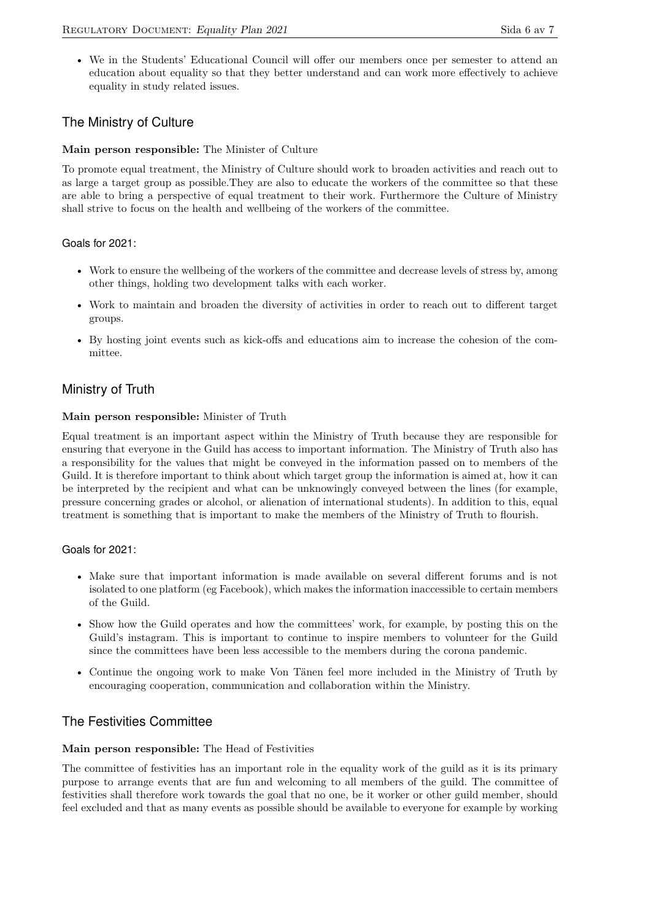• We in the Students' Educational Council will offer our members once per semester to attend an education about equality so that they better understand and can work more effectively to achieve equality in study related issues.

# The Ministry of Culture

#### **Main person responsible:** The Minister of Culture

To promote equal treatment, the Ministry of Culture should work to broaden activities and reach out to as large a target group as possible.They are also to educate the workers of the committee so that these are able to bring a perspective of equal treatment to their work. Furthermore the Culture of Ministry shall strive to focus on the health and wellbeing of the workers of the committee.

#### Goals for 2021:

- Work to ensure the wellbeing of the workers of the committee and decrease levels of stress by, among other things, holding two development talks with each worker.
- Work to maintain and broaden the diversity of activities in order to reach out to different target groups.
- By hosting joint events such as kick-offs and educations aim to increase the cohesion of the committee.

### Ministry of Truth

#### **Main person responsible:** Minister of Truth

Equal treatment is an important aspect within the Ministry of Truth because they are responsible for ensuring that everyone in the Guild has access to important information. The Ministry of Truth also has a responsibility for the values that might be conveyed in the information passed on to members of the Guild. It is therefore important to think about which target group the information is aimed at, how it can be interpreted by the recipient and what can be unknowingly conveyed between the lines (for example, pressure concerning grades or alcohol, or alienation of international students). In addition to this, equal treatment is something that is important to make the members of the Ministry of Truth to flourish.

#### Goals for 2021:

- Make sure that important information is made available on several different forums and is not isolated to one platform (eg Facebook), which makes the information inaccessible to certain members of the Guild.
- Show how the Guild operates and how the committees' work, for example, by posting this on the Guild's instagram. This is important to continue to inspire members to volunteer for the Guild since the committees have been less accessible to the members during the corona pandemic.
- Continue the ongoing work to make Von Tänen feel more included in the Ministry of Truth by encouraging cooperation, communication and collaboration within the Ministry.

### The Festivities Committee

#### **Main person responsible:** The Head of Festivities

The committee of festivities has an important role in the equality work of the guild as it is its primary purpose to arrange events that are fun and welcoming to all members of the guild. The committee of festivities shall therefore work towards the goal that no one, be it worker or other guild member, should feel excluded and that as many events as possible should be available to everyone for example by working